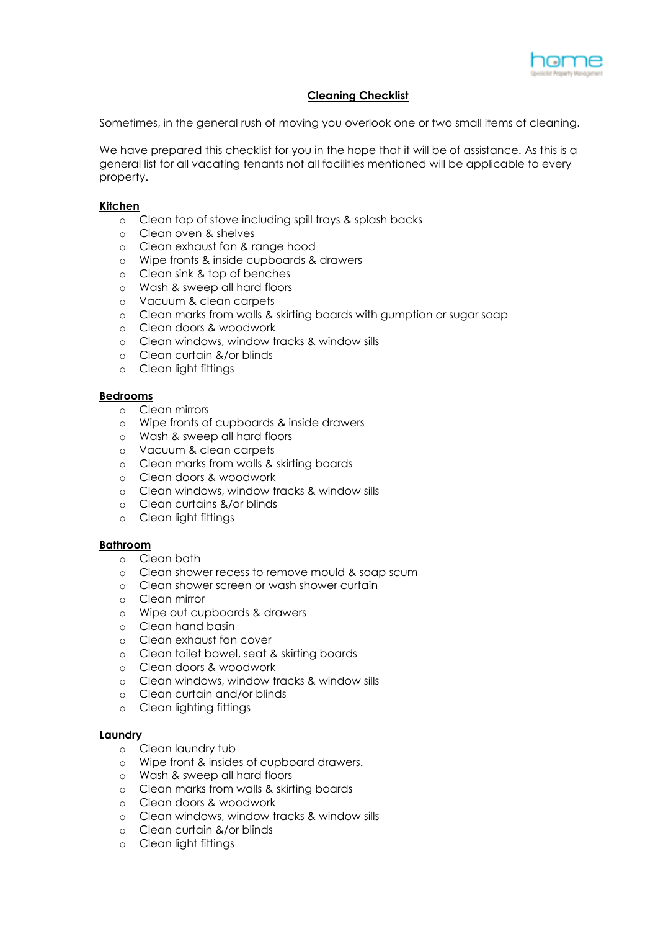

# **Cleaning Checklist**

Sometimes, in the general rush of moving you overlook one or two small items of cleaning.

We have prepared this checklist for you in the hope that it will be of assistance. As this is a general list for all vacating tenants not all facilities mentioned will be applicable to every property.

## **Kitchen**

- o Clean top of stove including spill trays & splash backs
- o Clean oven & shelves
- o Clean exhaust fan & range hood
- o Wipe fronts & inside cupboards & drawers
- o Clean sink & top of benches
- o Wash & sweep all hard floors
- o Vacuum & clean carpets
- o Clean marks from walls & skirting boards with gumption or sugar soap
- o Clean doors & woodwork
- o Clean windows, window tracks & window sills
- o Clean curtain &/or blinds
- o Clean light fittings

### **Bedrooms**

- o Clean mirrors
- o Wipe fronts of cupboards & inside drawers
- o Wash & sweep all hard floors
- o Vacuum & clean carpets
- o Clean marks from walls & skirting boards
- o Clean doors & woodwork
- o Clean windows, window tracks & window sills
- o Clean curtains &/or blinds
- o Clean light fittings

#### **Bathroom**

- o Clean bath
- o Clean shower recess to remove mould & soap scum
- o Clean shower screen or wash shower curtain
- o Clean mirror
- o Wipe out cupboards & drawers
- o Clean hand basin
- o Clean exhaust fan cover
- o Clean toilet bowel, seat & skirting boards
- o Clean doors & woodwork
- o Clean windows, window tracks & window sills
- o Clean curtain and/or blinds
- o Clean lighting fittings

#### **Laundry**

- o Clean laundry tub
- o Wipe front & insides of cupboard drawers.
- o Wash & sweep all hard floors
- o Clean marks from walls & skirting boards
- o Clean doors & woodwork
- o Clean windows, window tracks & window sills
- o Clean curtain &/or blinds
- o Clean light fittings